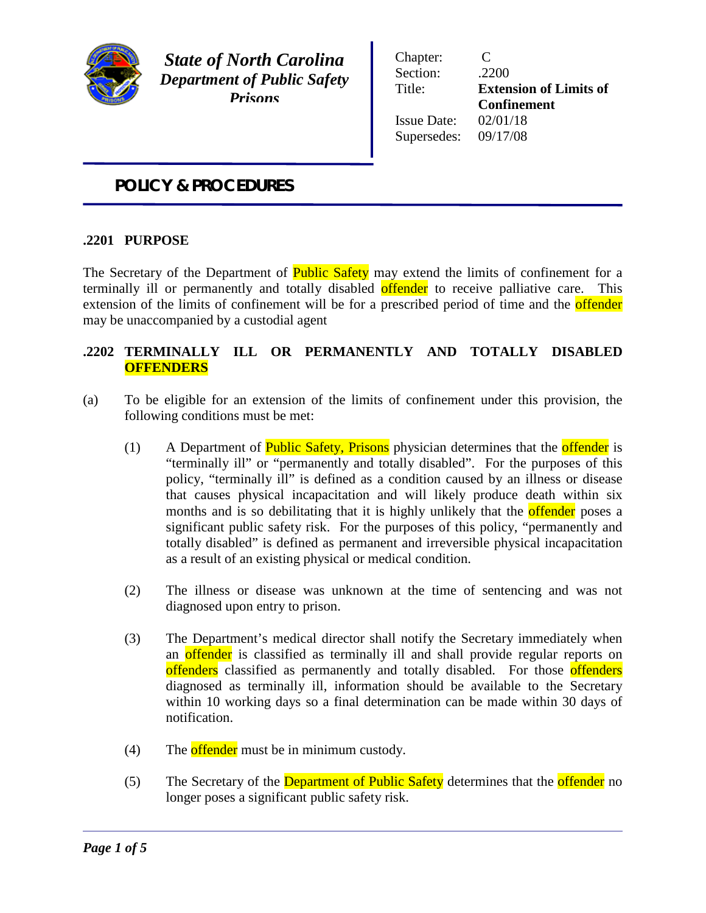

*State of North Carolina Department of Public Safety Prisons*

Chapter: C Section: .2200 Title: **Extension of Limits of Confinement** Issue Date: 02/01/18 Supersedes: 09/17/08

## *POLICY & PROCEDURES*

## **.2201 PURPOSE**

The Secretary of the Department of **Public Safety** may extend the limits of confinement for a terminally ill or permanently and totally disabled offender to receive palliative care. This extension of the limits of confinement will be for a prescribed period of time and the **offender** may be unaccompanied by a custodial agent

## **.2202 TERMINALLY ILL OR PERMANENTLY AND TOTALLY DISABLED OFFENDERS**

- (a) To be eligible for an extension of the limits of confinement under this provision, the following conditions must be met:
	- (1) A Department of **Public Safety, Prisons** physician determines that the **offender** is "terminally ill" or "permanently and totally disabled". For the purposes of this policy, "terminally ill" is defined as a condition caused by an illness or disease that causes physical incapacitation and will likely produce death within six months and is so debilitating that it is highly unlikely that the **offender** poses a significant public safety risk. For the purposes of this policy, "permanently and totally disabled" is defined as permanent and irreversible physical incapacitation as a result of an existing physical or medical condition.
	- (2) The illness or disease was unknown at the time of sentencing and was not diagnosed upon entry to prison.
	- (3) The Department's medical director shall notify the Secretary immediately when an **offender** is classified as terminally ill and shall provide regular reports on offenders classified as permanently and totally disabled. For those offenders diagnosed as terminally ill, information should be available to the Secretary within 10 working days so a final determination can be made within 30 days of notification.
	- $(4)$  The offender must be in minimum custody.
	- (5) The Secretary of the Department of Public Safety determines that the offender no longer poses a significant public safety risk.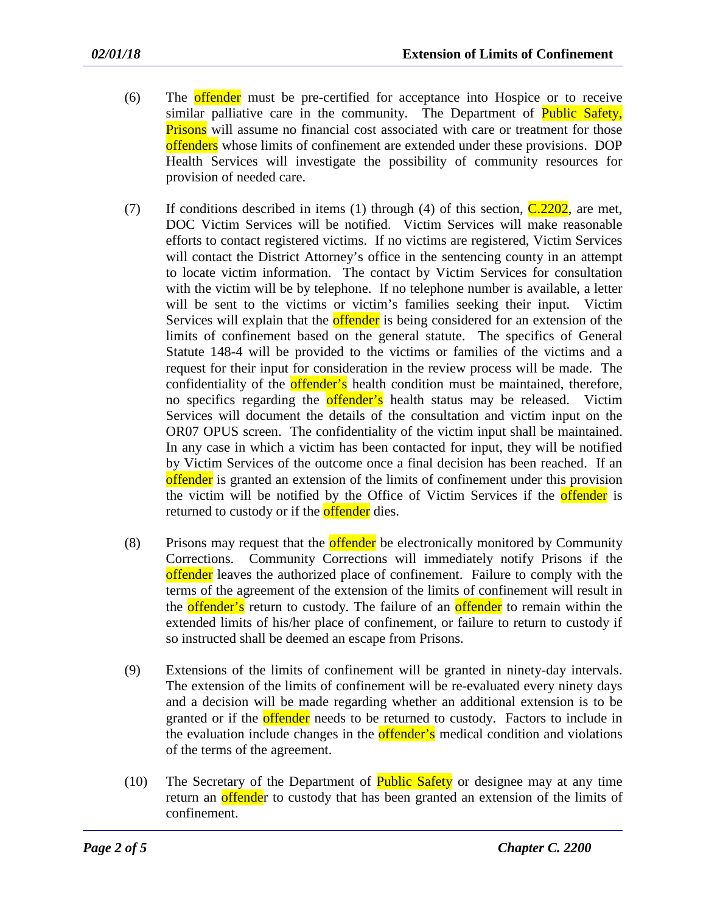- (6) The offender must be pre-certified for acceptance into Hospice or to receive similar palliative care in the community. The Department of **Public Safety**, **Prisons** will assume no financial cost associated with care or treatment for those offenders whose limits of confinement are extended under these provisions. DOP Health Services will investigate the possibility of community resources for provision of needed care.
- (7) If conditions described in items (1) through (4) of this section,  $C.2202$ , are met, DOC Victim Services will be notified. Victim Services will make reasonable efforts to contact registered victims. If no victims are registered, Victim Services will contact the District Attorney's office in the sentencing county in an attempt to locate victim information. The contact by Victim Services for consultation with the victim will be by telephone. If no telephone number is available, a letter will be sent to the victims or victim's families seeking their input. Victim Services will explain that the **offender** is being considered for an extension of the limits of confinement based on the general statute. The specifics of General Statute 148-4 will be provided to the victims or families of the victims and a request for their input for consideration in the review process will be made. The confidentiality of the **offender's** health condition must be maintained, therefore, no specifics regarding the **offender's** health status may be released. Victim Services will document the details of the consultation and victim input on the OR07 OPUS screen. The confidentiality of the victim input shall be maintained. In any case in which a victim has been contacted for input, they will be notified by Victim Services of the outcome once a final decision has been reached. If an offender is granted an extension of the limits of confinement under this provision the victim will be notified by the Office of Victim Services if the **offender** is returned to custody or if the **offender** dies.
- (8) Prisons may request that the **offender** be electronically monitored by Community Corrections. Community Corrections will immediately notify Prisons if the offender leaves the authorized place of confinement. Failure to comply with the terms of the agreement of the extension of the limits of confinement will result in the **offender's** return to custody. The failure of an **offender** to remain within the extended limits of his/her place of confinement, or failure to return to custody if so instructed shall be deemed an escape from Prisons.
- (9) Extensions of the limits of confinement will be granted in ninety-day intervals. The extension of the limits of confinement will be re-evaluated every ninety days and a decision will be made regarding whether an additional extension is to be granted or if the **offender** needs to be returned to custody. Factors to include in the evaluation include changes in the **offender's** medical condition and violations of the terms of the agreement.
- (10) The Secretary of the Department of **Public Safety** or designee may at any time return an offender to custody that has been granted an extension of the limits of confinement.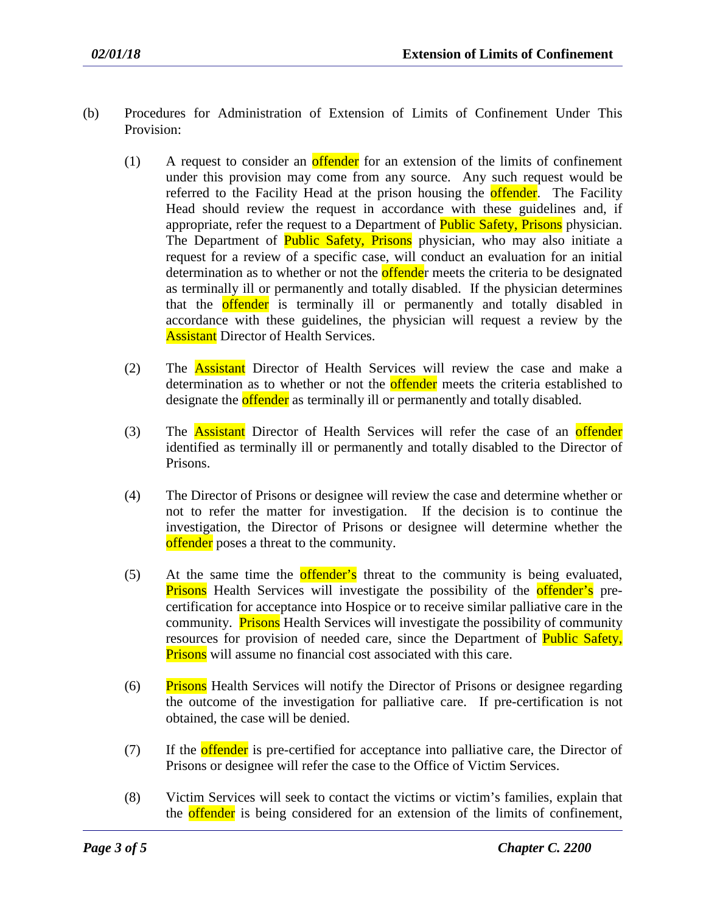- (b) Procedures for Administration of Extension of Limits of Confinement Under This Provision:
	- $(1)$  A request to consider an **offender** for an extension of the limits of confinement under this provision may come from any source. Any such request would be referred to the Facility Head at the prison housing the **offender**. The Facility Head should review the request in accordance with these guidelines and, if appropriate, refer the request to a Department of **Public Safety, Prisons** physician. The Department of **Public Safety, Prisons** physician, who may also initiate a request for a review of a specific case, will conduct an evaluation for an initial determination as to whether or not the **offende**r meets the criteria to be designated as terminally ill or permanently and totally disabled. If the physician determines that the **offender** is terminally ill or permanently and totally disabled in accordance with these guidelines, the physician will request a review by the **Assistant** Director of Health Services.
	- (2) The Assistant Director of Health Services will review the case and make a determination as to whether or not the **offender** meets the criteria established to designate the **offender** as terminally ill or permanently and totally disabled.
	- (3) The **Assistant** Director of Health Services will refer the case of an **offender** identified as terminally ill or permanently and totally disabled to the Director of Prisons.
	- (4) The Director of Prisons or designee will review the case and determine whether or not to refer the matter for investigation. If the decision is to continue the investigation, the Director of Prisons or designee will determine whether the offender poses a threat to the community.
	- (5) At the same time the **offender's** threat to the community is being evaluated, **Prisons** Health Services will investigate the possibility of the **offender's** precertification for acceptance into Hospice or to receive similar palliative care in the community. **Prisons** Health Services will investigate the possibility of community resources for provision of needed care, since the Department of Public Safety, **Prisons** will assume no financial cost associated with this care.
	- (6) Prisons Health Services will notify the Director of Prisons or designee regarding the outcome of the investigation for palliative care. If pre-certification is not obtained, the case will be denied.
	- (7) If the **offender** is pre-certified for acceptance into palliative care, the Director of Prisons or designee will refer the case to the Office of Victim Services.
	- (8) Victim Services will seek to contact the victims or victim's families, explain that the **offender** is being considered for an extension of the limits of confinement,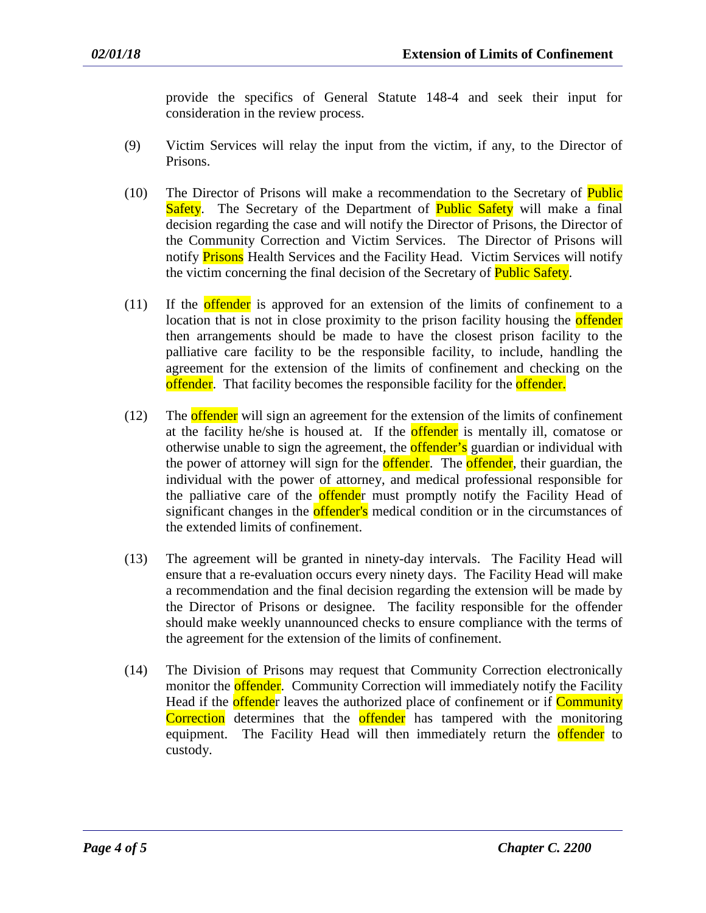provide the specifics of General Statute 148-4 and seek their input for consideration in the review process.

- (9) Victim Services will relay the input from the victim, if any, to the Director of Prisons.
- (10) The Director of Prisons will make a recommendation to the Secretary of Public Safety. The Secretary of the Department of **Public Safety** will make a final decision regarding the case and will notify the Director of Prisons, the Director of the Community Correction and Victim Services. The Director of Prisons will notify **Prisons** Health Services and the Facility Head. Victim Services will notify the victim concerning the final decision of the Secretary of **Public Safety**.
- (11) If the offender is approved for an extension of the limits of confinement to a location that is not in close proximity to the prison facility housing the **offender** then arrangements should be made to have the closest prison facility to the palliative care facility to be the responsible facility, to include, handling the agreement for the extension of the limits of confinement and checking on the offender. That facility becomes the responsible facility for the offender.
- (12) The **offender** will sign an agreement for the extension of the limits of confinement at the facility he/she is housed at. If the **offender** is mentally ill, comatose or otherwise unable to sign the agreement, the **offender's** guardian or individual with the power of attorney will sign for the **offender**. The **offender**, their guardian, the individual with the power of attorney, and medical professional responsible for the palliative care of the **offende**r must promptly notify the Facility Head of significant changes in the **offender's** medical condition or in the circumstances of the extended limits of confinement.
- (13) The agreement will be granted in ninety-day intervals. The Facility Head will ensure that a re-evaluation occurs every ninety days. The Facility Head will make a recommendation and the final decision regarding the extension will be made by the Director of Prisons or designee. The facility responsible for the offender should make weekly unannounced checks to ensure compliance with the terms of the agreement for the extension of the limits of confinement.
- (14) The Division of Prisons may request that Community Correction electronically monitor the **offender.** Community Correction will immediately notify the Facility Head if the **offende**r leaves the authorized place of confinement or if **Community** Correction determines that the offender has tampered with the monitoring equipment. The Facility Head will then immediately return the **offender** to custody.